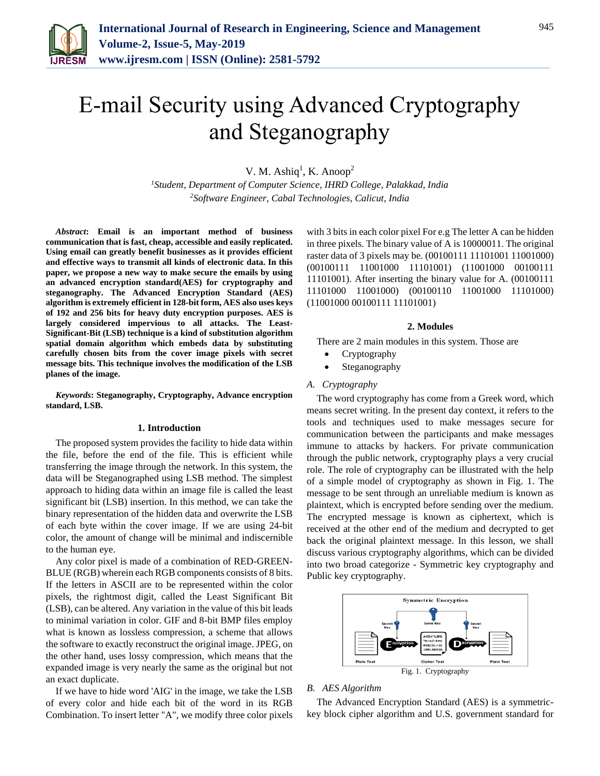

# E-mail Security using Advanced Cryptography and Steganography

V. M. Ashiq<sup>1</sup>, K. Anoop<sup>2</sup>

*<sup>1</sup>Student, Department of Computer Science, IHRD College, Palakkad, India 2Software Engineer, Cabal Technologies, Calicut, India*

*Abstract***: Email is an important method of business communication that is fast, cheap, accessible and easily replicated. Using email can greatly benefit businesses as it provides efficient and effective ways to transmit all kinds of electronic data. In this paper, we propose a new way to make secure the emails by using an advanced encryption standard(AES) for cryptography and steganography. The Advanced Encryption Standard (AES) algorithm is extremely efficient in 128-bit form, AES also uses keys of 192 and 256 bits for heavy duty encryption purposes. AES is largely considered impervious to all attacks. The Least-Significant-Bit (LSB) technique is a kind of substitution algorithm spatial domain algorithm which embeds data by substituting carefully chosen bits from the cover image pixels with secret message bits. This technique involves the modification of the LSB planes of the image.**

*Keywords***: Steganography, Cryptography, Advance encryption standard, LSB.**

#### **1. Introduction**

The proposed system provides the facility to hide data within the file, before the end of the file. This is efficient while transferring the image through the network. In this system, the data will be Steganographed using LSB method. The simplest approach to hiding data within an image file is called the least significant bit (LSB) insertion. In this method, we can take the binary representation of the hidden data and overwrite the LSB of each byte within the cover image. If we are using 24-bit color, the amount of change will be minimal and indiscernible to the human eye.

Any color pixel is made of a combination of RED-GREEN-BLUE (RGB) wherein each RGB components consists of 8 bits. If the letters in ASCII are to be represented within the color pixels, the rightmost digit, called the Least Significant Bit (LSB), can be altered. Any variation in the value of this bit leads to minimal variation in color. GIF and 8-bit BMP files employ what is known as lossless compression, a scheme that allows the software to exactly reconstruct the original image. JPEG, on the other hand, uses lossy compression, which means that the expanded image is very nearly the same as the original but not an exact duplicate.

If we have to hide word 'AIG' in the image, we take the LSB of every color and hide each bit of the word in its RGB Combination. To insert letter "A", we modify three color pixels with 3 bits in each color pixel For e.g The letter A can be hidden in three pixels. The binary value of A is 10000011. The original raster data of 3 pixels may be. (00100111 11101001 11001000) (00100111 11001000 11101001) (11001000 00100111 11101001). After inserting the binary value for A. (00100111 11101000 11001000) (00100110 11001000 11101000) (11001000 00100111 11101001)

#### **2. Modules**

- There are 2 main modules in this system. Those are
	- Cryptography
	- Steganography

## *A. Cryptography*

The word cryptography has come from a Greek word, which means secret writing. In the present day context, it refers to the tools and techniques used to make messages secure for communication between the participants and make messages immune to attacks by hackers. For private communication through the public network, cryptography plays a very crucial role. The role of cryptography can be illustrated with the help of a simple model of cryptography as shown in Fig. 1. The message to be sent through an unreliable medium is known as plaintext, which is encrypted before sending over the medium. The encrypted message is known as ciphertext, which is received at the other end of the medium and decrypted to get back the original plaintext message. In this lesson, we shall discuss various cryptography algorithms, which can be divided into two broad categorize - Symmetric key cryptography and Public key cryptography.



#### *B. AES Algorithm*

The Advanced Encryption Standard (AES) is a symmetrickey block cipher algorithm and U.S. government standard for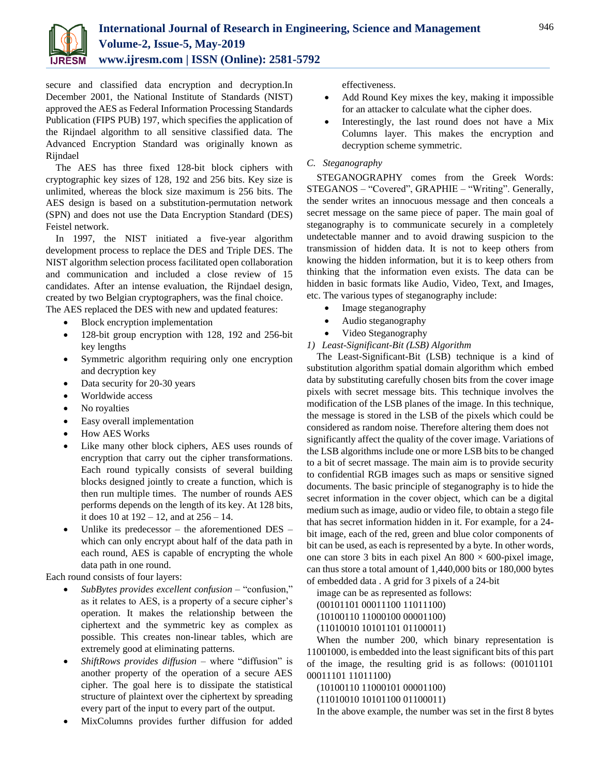

secure and classified data encryption and decryption.In December 2001, the National Institute of Standards (NIST) approved the AES as Federal Information Processing Standards Publication (FIPS PUB) 197, which specifies the application of the Rijndael algorithm to all sensitive classified data. The Advanced Encryption Standard was originally known as Rijndael

The AES has three fixed 128-bit block ciphers with cryptographic key sizes of 128, 192 and 256 bits. Key size is unlimited, whereas the block size maximum is 256 bits. The AES design is based on a substitution-permutation network (SPN) and does not use the Data Encryption Standard (DES) Feistel network.

In 1997, the NIST initiated a five-year algorithm development process to replace the DES and Triple DES. The NIST algorithm selection process facilitated open collaboration and communication and included a close review of 15 candidates. After an intense evaluation, the Rijndael design, created by two Belgian cryptographers, was the final choice.

The AES replaced the DES with new and updated features:

- Block encryption implementation
- 128-bit group encryption with 128, 192 and 256-bit key lengths
- Symmetric algorithm requiring only one encryption and decryption key
- Data security for 20-30 years
- Worldwide access
- No royalties
- Easy overall implementation
- How AES Works
- Like many other block ciphers, AES uses rounds of encryption that carry out the cipher transformations. Each round typically consists of several building blocks designed jointly to create a function, which is then run multiple times. The number of rounds AES performs depends on the length of its key. At 128 bits, it does 10 at 192 – 12, and at 256 – 14.
- Unlike its predecessor the aforementioned DES which can only encrypt about half of the data path in each round, AES is capable of encrypting the whole data path in one round.

Each round consists of four layers:

- *SubBytes provides excellent confusion* "confusion," as it relates to AES, is a property of a secure cipher's operation. It makes the relationship between the ciphertext and the symmetric key as complex as possible. This creates non-linear tables, which are extremely good at eliminating patterns.
- *ShiftRows provides diffusion* where "diffusion" is another property of the operation of a secure AES cipher. The goal here is to dissipate the statistical structure of plaintext over the ciphertext by spreading every part of the input to every part of the output.
- MixColumns provides further diffusion for added

effectiveness.

- Add Round Key mixes the key, making it impossible for an attacker to calculate what the cipher does.
- Interestingly, the last round does not have a Mix Columns layer. This makes the encryption and decryption scheme symmetric.

## *C. Steganography*

STEGANOGRAPHY comes from the Greek Words: STEGANOS – "Covered", GRAPHIE – "Writing". Generally, the sender writes an innocuous message and then conceals a secret message on the same piece of paper. The main goal of steganography is to communicate securely in a completely undetectable manner and to avoid drawing suspicion to the transmission of hidden data. It is not to keep others from knowing the hidden information, but it is to keep others from thinking that the information even exists. The data can be hidden in basic formats like Audio, Video, Text, and Images, etc. The various types of steganography include:

- Image steganography
- Audio steganography
- Video Steganography

*1) Least-Significant-Bit (LSB) Algorithm*

The Least-Significant-Bit (LSB) technique is a kind of substitution algorithm spatial domain algorithm which embed data by substituting carefully chosen bits from the cover image pixels with secret message bits. This technique involves the modification of the LSB planes of the image. In this technique, the message is stored in the LSB of the pixels which could be considered as random noise. Therefore altering them does not significantly affect the quality of the cover image. Variations of the LSB algorithms include one or more LSB bits to be changed to a bit of secret massage. The main aim is to provide security to confidential RGB images such as maps or sensitive signed documents. The basic principle of steganography is to hide the secret information in the cover object, which can be a digital medium such as image, audio or video file, to obtain a stego file that has secret information hidden in it. For example, for a 24 bit image, each of the red, green and blue color components of bit can be used, as each is represented by a byte. In other words, one can store 3 bits in each pixel An  $800 \times 600$ -pixel image, can thus store a total amount of 1,440,000 bits or 180,000 bytes of embedded data . A grid for 3 pixels of a 24-bit

image can be as represented as follows:

(00101101 00011100 11011100) (10100110 11000100 00001100) (11010010 10101101 01100011)

When the number 200, which binary representation is 11001000, is embedded into the least significant bits of this part of the image, the resulting grid is as follows: (00101101 00011101 11011100)

(10100110 11000101 00001100)

(11010010 10101100 01100011)

In the above example, the number was set in the first 8 bytes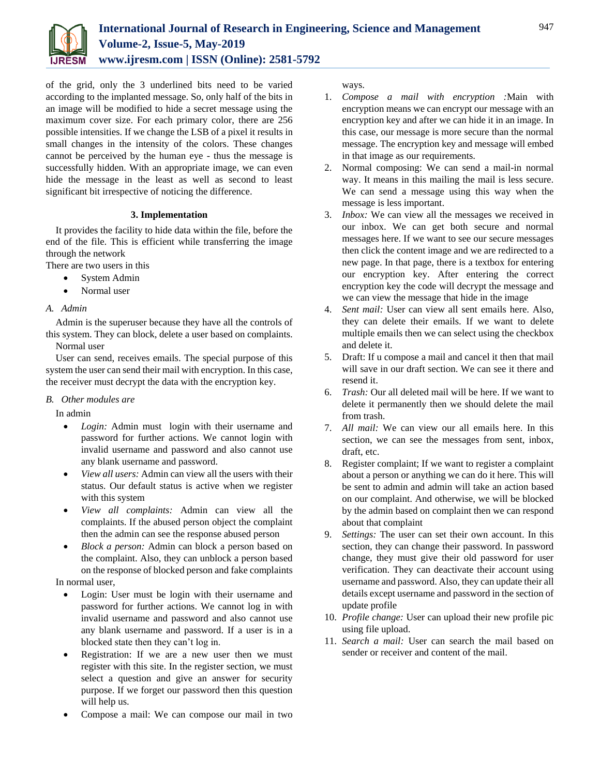

of the grid, only the 3 underlined bits need to be varied according to the implanted message. So, only half of the bits in an image will be modified to hide a secret message using the maximum cover size. For each primary color, there are 256 possible intensities. If we change the LSB of a pixel it results in small changes in the intensity of the colors. These changes cannot be perceived by the human eye - thus the message is successfully hidden. With an appropriate image, we can even hide the message in the least as well as second to least significant bit irrespective of noticing the difference.

## **3. Implementation**

It provides the facility to hide data within the file, before the end of the file. This is efficient while transferring the image through the network

There are two users in this

- System Admin
- Normal user

## *A. Admin*

Admin is the superuser because they have all the controls of this system. They can block, delete a user based on complaints.

Normal user

User can send, receives emails. The special purpose of this system the user can send their mail with encryption. In this case, the receiver must decrypt the data with the encryption key.

## *B. Other modules are*

In admin

- *Login:* Admin must login with their username and password for further actions. We cannot login with invalid username and password and also cannot use any blank username and password.
- *View all users:* Admin can view all the users with their status. Our default status is active when we register with this system
- *View all complaints:* Admin can view all the complaints. If the abused person object the complaint then the admin can see the response abused person
- *Block a person:* Admin can block a person based on the complaint. Also, they can unblock a person based on the response of blocked person and fake complaints

In normal user,

- Login: User must be login with their username and password for further actions. We cannot log in with invalid username and password and also cannot use any blank username and password. If a user is in a blocked state then they can't log in.
- Registration: If we are a new user then we must register with this site. In the register section, we must select a question and give an answer for security purpose. If we forget our password then this question will help us.
- Compose a mail: We can compose our mail in two

ways.

- 1. *Compose a mail with encryption :*Main with encryption means we can encrypt our message with an encryption key and after we can hide it in an image. In this case, our message is more secure than the normal message. The encryption key and message will embed in that image as our requirements.
- 2. Normal composing: We can send a mail-in normal way. It means in this mailing the mail is less secure. We can send a message using this way when the message is less important.
- 3. *Inbox:* We can view all the messages we received in our inbox. We can get both secure and normal messages here. If we want to see our secure messages then click the content image and we are redirected to a new page. In that page, there is a textbox for entering our encryption key. After entering the correct encryption key the code will decrypt the message and we can view the message that hide in the image
- 4. *Sent mail:* User can view all sent emails here. Also, they can delete their emails. If we want to delete multiple emails then we can select using the checkbox and delete it.
- 5. Draft: If u compose a mail and cancel it then that mail will save in our draft section. We can see it there and resend it.
- 6. *Trash:* Our all deleted mail will be here. If we want to delete it permanently then we should delete the mail from trash.
- 7. *All mail:* We can view our all emails here. In this section, we can see the messages from sent, inbox, draft, etc.
- 8. Register complaint; If we want to register a complaint about a person or anything we can do it here. This will be sent to admin and admin will take an action based on our complaint. And otherwise, we will be blocked by the admin based on complaint then we can respond about that complaint
- 9. *Settings:* The user can set their own account. In this section, they can change their password. In password change, they must give their old password for user verification. They can deactivate their account using username and password. Also, they can update their all details except username and password in the section of update profile
- 10. *Profile change:* User can upload their new profile pic using file upload.
- 11. *Search a mail:* User can search the mail based on sender or receiver and content of the mail.